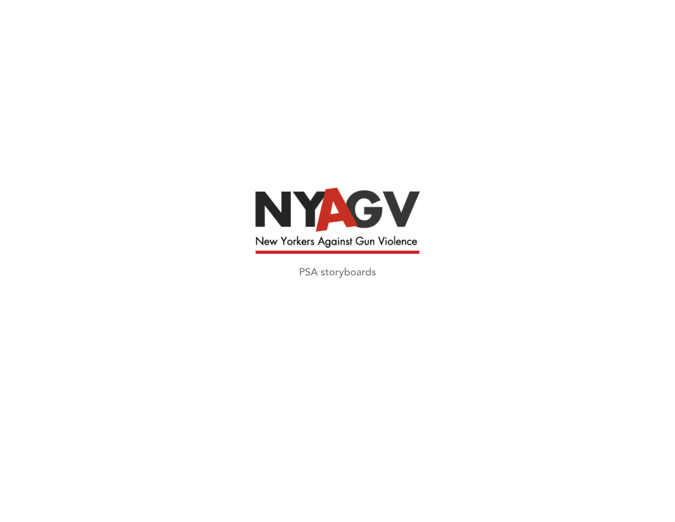

PSA storyboards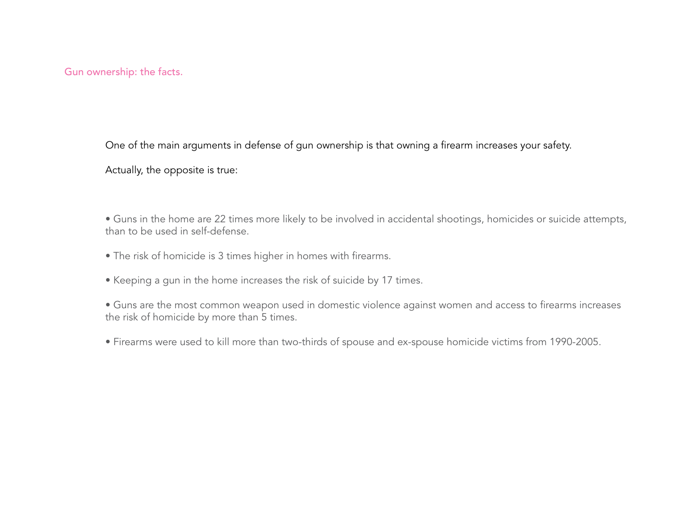Gun ownership: the facts.

One of the main arguments in defense of gun ownership is that owning a firearm increases your safety.

Actually, the opposite is true:

• Guns in the home are 22 times more likely to be involved in accidental shootings, homicides or suicide attempts, than to be used in self-defense.

- The risk of homicide is 3 times higher in homes with firearms.
- Keeping a gun in the home increases the risk of suicide by 17 times.
- Guns are the most common weapon used in domestic violence against women and access to firearms increases the risk of homicide by more than 5 times.
- Firearms were used to kill more than two-thirds of spouse and ex-spouse homicide victims from 1990-2005.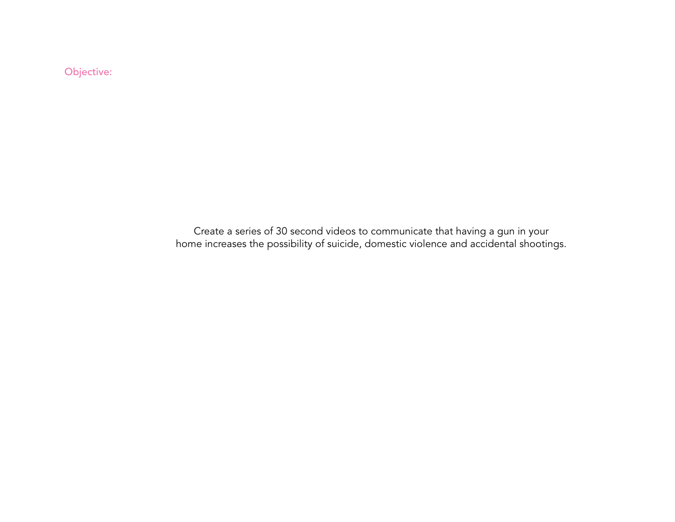Objective:

Create a series of 30 second videos to communicate that having a gun in your home increases the possibility of suicide, domestic violence and accidental shootings.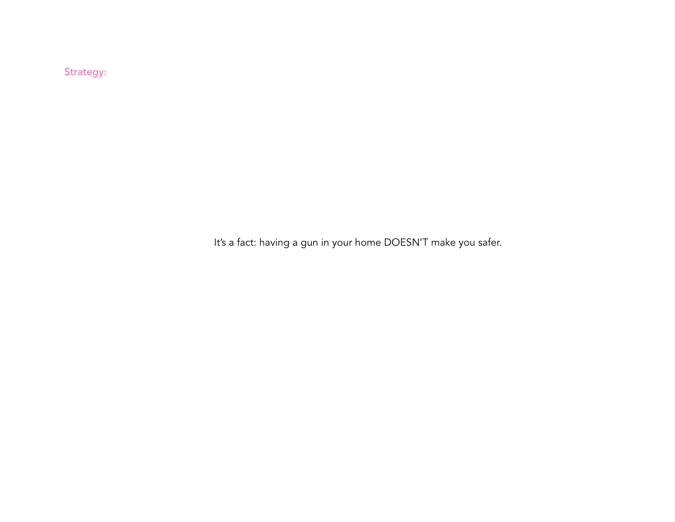Strategy:

It's a fact: having a gun in your home DOESN'T make you safer.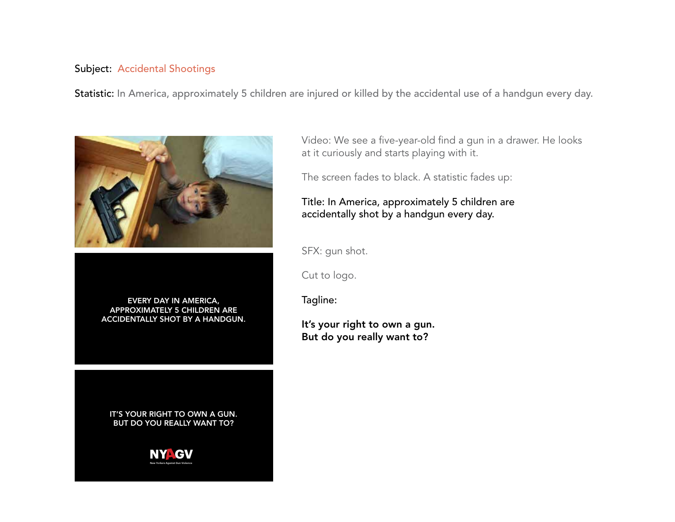#### Subject: Accidental Shootings

Statistic: In America, approximately 5 children are injured or killed by the accidental use of a handgun every day.



every day in america, approximately 5 children are accidentally shot by a handgun.

IT'S YOUR RIGHT TO OWN A GUN. But do you really want to?



Video: We see a five-year-old find a gun in a drawer. He looks at it curiously and starts playing with it.

The screen fades to black. A statistic fades up:

## Title: In America, approximately 5 children are accidentally shot by a handgun every day.

SFX: gun shot.

Cut to logo.

Tagline:

It's your right to own a gun. But do you really want to?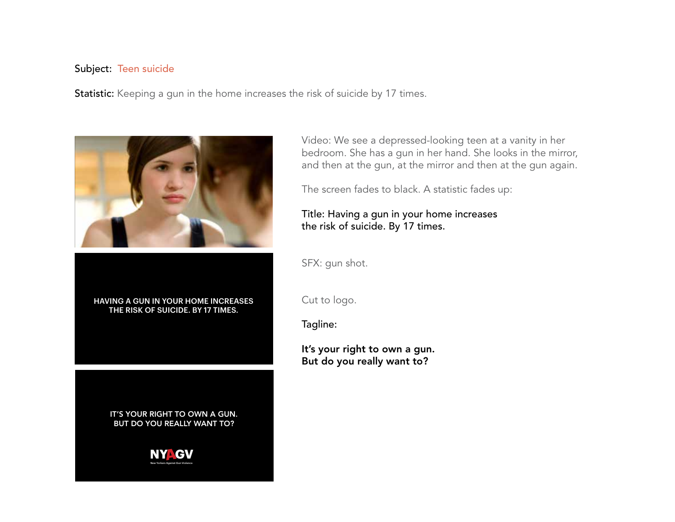#### Subject: Teen suicide

Statistic: Keeping a gun in the home increases the risk of suicide by 17 times.



Having a gun in your home increases the risk of suicide. By 17 times.

> IT'S YOUR RIGHT TO OWN A GUN. But do you really want to?



Video: We see a depressed-looking teen at a vanity in her bedroom. She has a gun in her hand. She looks in the mirror, and then at the gun, at the mirror and then at the gun again.

The screen fades to black. A statistic fades up:

## Title: Having a gun in your home increases the risk of suicide. By 17 times.

SFX: gun shot.

Cut to logo.

Tagline:

It's your right to own a gun. But do you really want to?